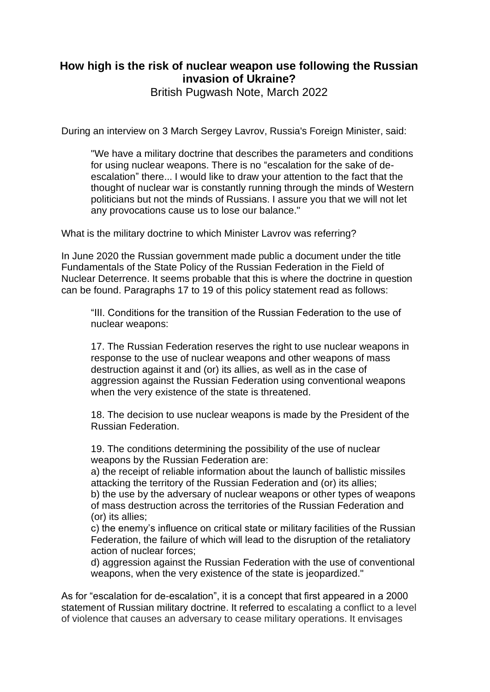## **How high is the risk of nuclear weapon use following the Russian invasion of Ukraine?**

British Pugwash Note, March 2022

During an interview on 3 March Sergey Lavrov, Russia's Foreign Minister, said:

"We have a military doctrine that describes the parameters and conditions for using nuclear weapons. There is no "escalation for the sake of deescalation" there... I would like to draw your attention to the fact that the thought of nuclear war is constantly running through the minds of Western politicians but not the minds of Russians. I assure you that we will not let any provocations cause us to lose our balance."

What is the military doctrine to which Minister Lavrov was referring?

In June 2020 the Russian government made public a document under the title Fundamentals of the State Policy of the Russian Federation in the Field of Nuclear Deterrence. It seems probable that this is where the doctrine in question can be found. Paragraphs 17 to 19 of this policy statement read as follows:

"III. Conditions for the transition of the Russian Federation to the use of nuclear weapons:

17. The Russian Federation reserves the right to use nuclear weapons in response to the use of nuclear weapons and other weapons of mass destruction against it and (or) its allies, as well as in the case of aggression against the Russian Federation using conventional weapons when the very existence of the state is threatened.

18. The decision to use nuclear weapons is made by the President of the Russian Federation.

19. The conditions determining the possibility of the use of nuclear weapons by the Russian Federation are:

a) the receipt of reliable information about the launch of ballistic missiles attacking the territory of the Russian Federation and (or) its allies;

b) the use by the adversary of nuclear weapons or other types of weapons of mass destruction across the territories of the Russian Federation and (or) its allies;

c) the enemy's influence on critical state or military facilities of the Russian Federation, the failure of which will lead to the disruption of the retaliatory action of nuclear forces;

d) aggression against the Russian Federation with the use of conventional weapons, when the very existence of the state is jeopardized."

As for "escalation for de-escalation", it is a concept that first appeared in a 2000 statement of Russian military doctrine. It referred to escalating a conflict to a level of violence that causes an adversary to cease military operations. It envisages